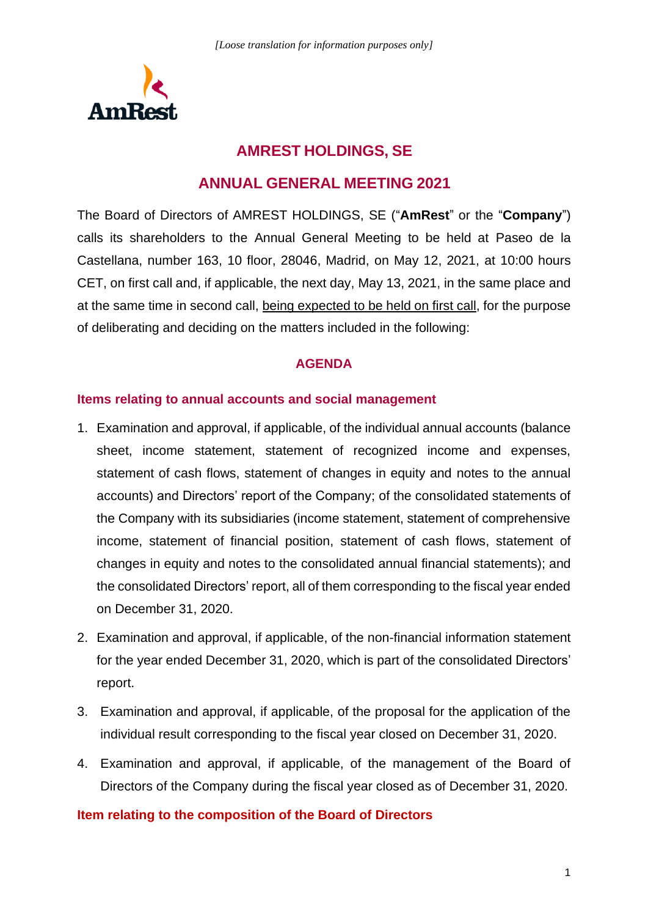

# **AMREST HOLDINGS, SE**

# **ANNUAL GENERAL MEETING 2021**

The Board of Directors of AMREST HOLDINGS, SE ("**AmRest**" or the "**Company**") calls its shareholders to the Annual General Meeting to be held at Paseo de la Castellana, number 163, 10 floor, 28046, Madrid, on May 12, 2021, at 10:00 hours CET, on first call and, if applicable, the next day, May 13, 2021, in the same place and at the same time in second call, being expected to be held on first call, for the purpose of deliberating and deciding on the matters included in the following:

#### **AGENDA**

### **Items relating to annual accounts and social management**

- 1. Examination and approval, if applicable, of the individual annual accounts (balance sheet, income statement, statement of recognized income and expenses, statement of cash flows, statement of changes in equity and notes to the annual accounts) and Directors' report of the Company; of the consolidated statements of the Company with its subsidiaries (income statement, statement of comprehensive income, statement of financial position, statement of cash flows, statement of changes in equity and notes to the consolidated annual financial statements); and the consolidated Directors' report, all of them corresponding to the fiscal year ended on December 31, 2020.
- 2. Examination and approval, if applicable, of the non-financial information statement for the year ended December 31, 2020, which is part of the consolidated Directors' report.
- 3. Examination and approval, if applicable, of the proposal for the application of the individual result corresponding to the fiscal year closed on December 31, 2020.
- 4. Examination and approval, if applicable, of the management of the Board of Directors of the Company during the fiscal year closed as of December 31, 2020.

### **Item relating to the composition of the Board of Directors**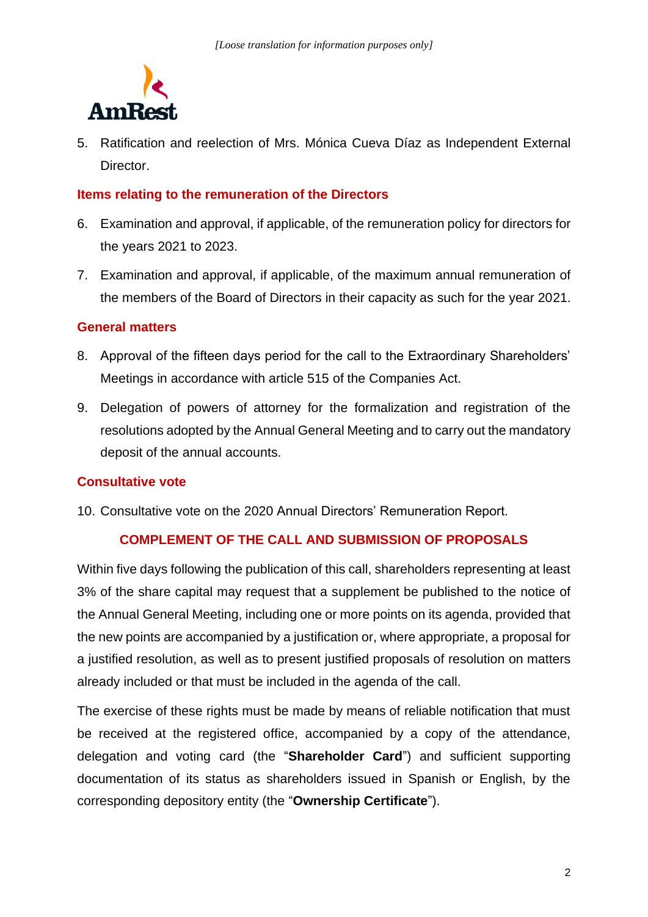

5. Ratification and reelection of Mrs. Mónica Cueva Díaz as Independent External **Director** 

#### **Items relating to the remuneration of the Directors**

- 6. Examination and approval, if applicable, of the remuneration policy for directors for the years 2021 to 2023.
- 7. Examination and approval, if applicable, of the maximum annual remuneration of the members of the Board of Directors in their capacity as such for the year 2021.

#### **General matters**

- 8. Approval of the fifteen days period for the call to the Extraordinary Shareholders' Meetings in accordance with article 515 of the Companies Act.
- 9. Delegation of powers of attorney for the formalization and registration of the resolutions adopted by the Annual General Meeting and to carry out the mandatory deposit of the annual accounts.

### **Consultative vote**

10. Consultative vote on the 2020 Annual Directors' Remuneration Report.

### **COMPLEMENT OF THE CALL AND SUBMISSION OF PROPOSALS**

Within five days following the publication of this call, shareholders representing at least 3% of the share capital may request that a supplement be published to the notice of the Annual General Meeting, including one or more points on its agenda, provided that the new points are accompanied by a justification or, where appropriate, a proposal for a justified resolution, as well as to present justified proposals of resolution on matters already included or that must be included in the agenda of the call.

The exercise of these rights must be made by means of reliable notification that must be received at the registered office, accompanied by a copy of the attendance, delegation and voting card (the "**Shareholder Card**") and sufficient supporting documentation of its status as shareholders issued in Spanish or English, by the corresponding depository entity (the "**Ownership Certificate**").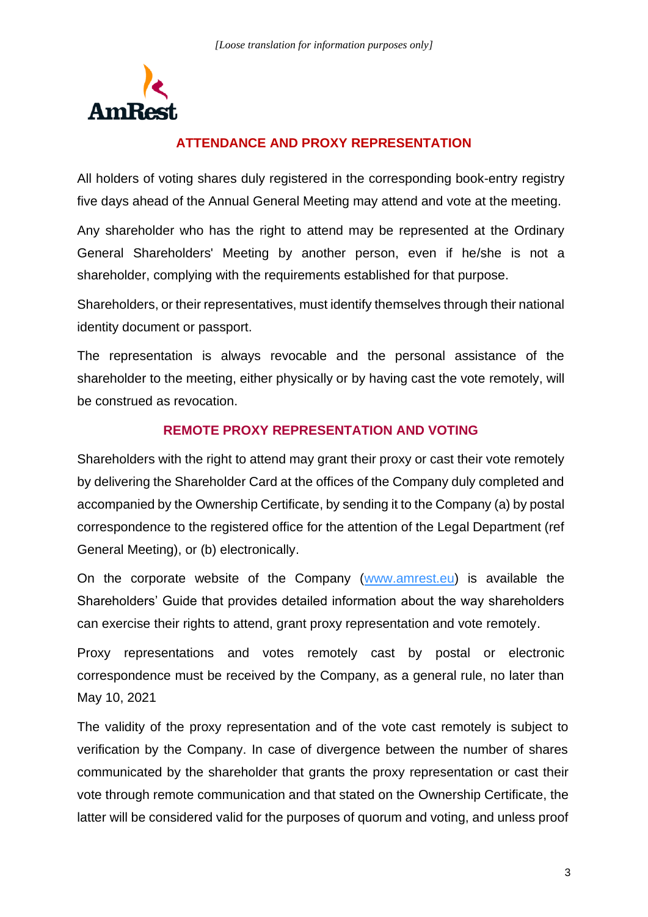

# **ATTENDANCE AND PROXY REPRESENTATION**

All holders of voting shares duly registered in the corresponding book-entry registry five days ahead of the Annual General Meeting may attend and vote at the meeting.

Any shareholder who has the right to attend may be represented at the Ordinary General Shareholders' Meeting by another person, even if he/she is not a shareholder, complying with the requirements established for that purpose.

Shareholders, or their representatives, must identify themselves through their national identity document or passport.

The representation is always revocable and the personal assistance of the shareholder to the meeting, either physically or by having cast the vote remotely, will be construed as revocation.

### **REMOTE PROXY REPRESENTATION AND VOTING**

Shareholders with the right to attend may grant their proxy or cast their vote remotely by delivering the Shareholder Card at the offices of the Company duly completed and accompanied by the Ownership Certificate, by sending it to the Company (a) by postal correspondence to the registered office for the attention of the Legal Department (ref General Meeting), or (b) electronically.

On the corporate website of the Company [\(www.amrest.eu\)](http://www.amrest.eu/) is available the Shareholders' Guide that provides detailed information about the way shareholders can exercise their rights to attend, grant proxy representation and vote remotely.

Proxy representations and votes remotely cast by postal or electronic correspondence must be received by the Company, as a general rule, no later than May 10, 2021

The validity of the proxy representation and of the vote cast remotely is subject to verification by the Company. In case of divergence between the number of shares communicated by the shareholder that grants the proxy representation or cast their vote through remote communication and that stated on the Ownership Certificate, the latter will be considered valid for the purposes of quorum and voting, and unless proof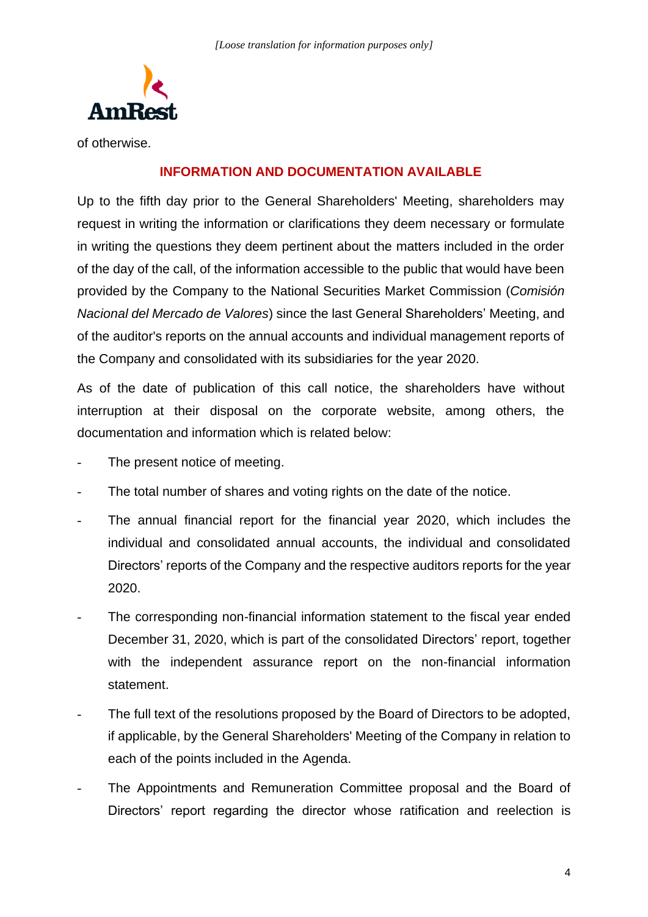

of otherwise.

### **INFORMATION AND DOCUMENTATION AVAILABLE**

Up to the fifth day prior to the General Shareholders' Meeting, shareholders may request in writing the information or clarifications they deem necessary or formulate in writing the questions they deem pertinent about the matters included in the order of the day of the call, of the information accessible to the public that would have been provided by the Company to the National Securities Market Commission (*Comisión Nacional del Mercado de Valores*) since the last General Shareholders' Meeting, and of the auditor's reports on the annual accounts and individual management reports of the Company and consolidated with its subsidiaries for the year 2020.

As of the date of publication of this call notice, the shareholders have without interruption at their disposal on the corporate website, among others, the documentation and information which is related below:

- The present notice of meeting.
- The total number of shares and voting rights on the date of the notice.
- The annual financial report for the financial year 2020, which includes the individual and consolidated annual accounts, the individual and consolidated Directors' reports of the Company and the respective auditors reports for the year 2020.
- The corresponding non-financial information statement to the fiscal year ended December 31, 2020, which is part of the consolidated Directors' report, together with the independent assurance report on the non-financial information statement.
- The full text of the resolutions proposed by the Board of Directors to be adopted, if applicable, by the General Shareholders' Meeting of the Company in relation to each of the points included in the Agenda.
- The Appointments and Remuneration Committee proposal and the Board of Directors' report regarding the director whose ratification and reelection is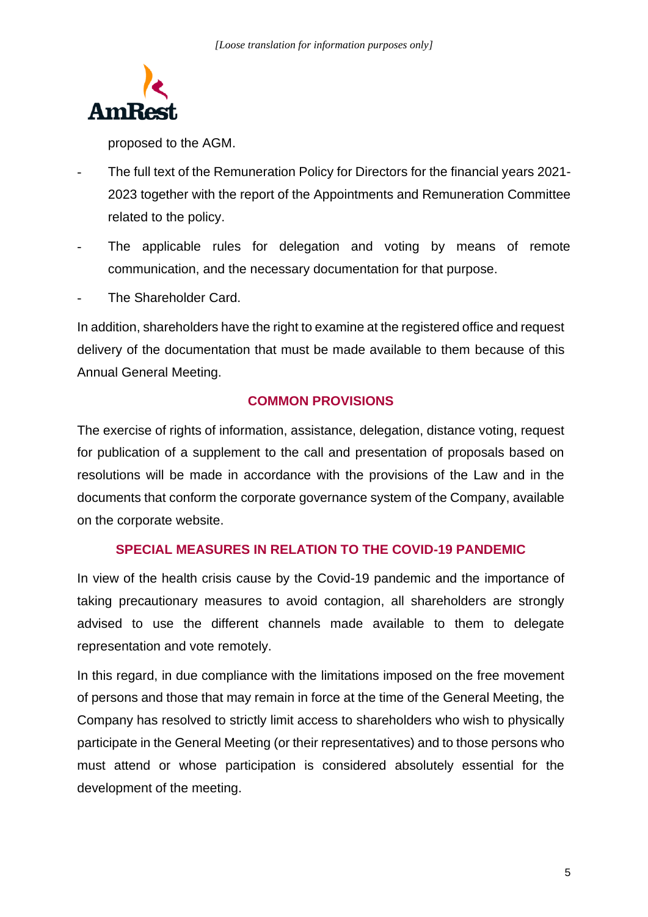

proposed to the AGM.

- The full text of the Remuneration Policy for Directors for the financial years 2021- 2023 together with the report of the Appointments and Remuneration Committee related to the policy.
- The applicable rules for delegation and voting by means of remote communication, and the necessary documentation for that purpose.
- The Shareholder Card.

In addition, shareholders have the right to examine at the registered office and request delivery of the documentation that must be made available to them because of this Annual General Meeting.

## **COMMON PROVISIONS**

The exercise of rights of information, assistance, delegation, distance voting, request for publication of a supplement to the call and presentation of proposals based on resolutions will be made in accordance with the provisions of the Law and in the documents that conform the corporate governance system of the Company, available on the corporate website.

### **SPECIAL MEASURES IN RELATION TO THE COVID-19 PANDEMIC**

In view of the health crisis cause by the Covid-19 pandemic and the importance of taking precautionary measures to avoid contagion, all shareholders are strongly advised to use the different channels made available to them to delegate representation and vote remotely.

In this regard, in due compliance with the limitations imposed on the free movement of persons and those that may remain in force at the time of the General Meeting, the Company has resolved to strictly limit access to shareholders who wish to physically participate in the General Meeting (or their representatives) and to those persons who must attend or whose participation is considered absolutely essential for the development of the meeting.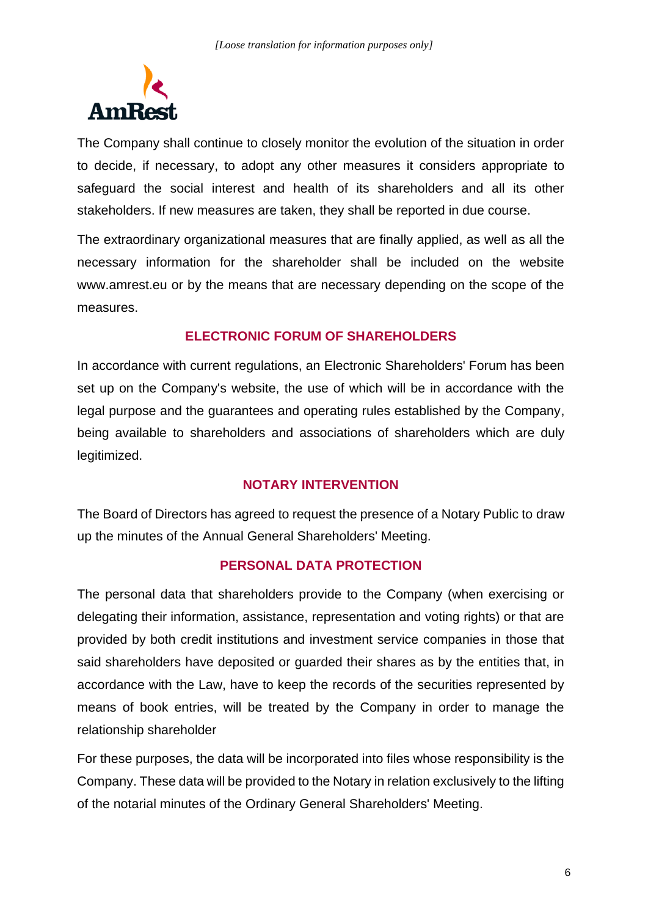

The Company shall continue to closely monitor the evolution of the situation in order to decide, if necessary, to adopt any other measures it considers appropriate to safeguard the social interest and health of its shareholders and all its other stakeholders. If new measures are taken, they shall be reported in due course.

The extraordinary organizational measures that are finally applied, as well as all the necessary information for the shareholder shall be included on the website www.amrest.eu or by the means that are necessary depending on the scope of the measures.

## **ELECTRONIC FORUM OF SHAREHOLDERS**

In accordance with current regulations, an Electronic Shareholders' Forum has been set up on the Company's website, the use of which will be in accordance with the legal purpose and the guarantees and operating rules established by the Company, being available to shareholders and associations of shareholders which are duly legitimized.

### **NOTARY INTERVENTION**

The Board of Directors has agreed to request the presence of a Notary Public to draw up the minutes of the Annual General Shareholders' Meeting.

### **PERSONAL DATA PROTECTION**

The personal data that shareholders provide to the Company (when exercising or delegating their information, assistance, representation and voting rights) or that are provided by both credit institutions and investment service companies in those that said shareholders have deposited or guarded their shares as by the entities that, in accordance with the Law, have to keep the records of the securities represented by means of book entries, will be treated by the Company in order to manage the relationship shareholder

For these purposes, the data will be incorporated into files whose responsibility is the Company. These data will be provided to the Notary in relation exclusively to the lifting of the notarial minutes of the Ordinary General Shareholders' Meeting.